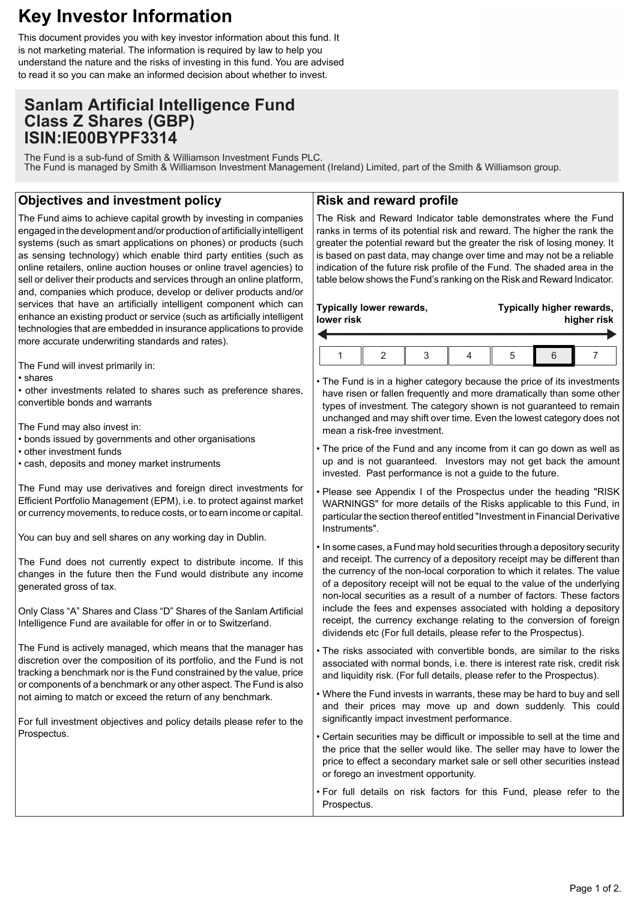# **Key Investor Information**

This document provides you with key investor information about this fund. It is not marketing material. The information is required by law to help you understand the nature and the risks of investing in this fund. You are advised to read it so you can make an informed decision about whether to invest.

# **Sanlam Artificial Intelligence Fund Class Z Shares (GBP) ISIN:IE00BYPF3314**

The Fund is a sub-fund of Smith & Williamson Investment Funds PLC. The Fund is managed by Smith & Williamson Investment Management (Ireland) Limited, part of the Smith & Williamson group.

# **Objectives and investment policy**

The Fund aims to achieve capital growth by investing in companies engaged in the development and/or production of artificially intelligent systems (such as smart applications on phones) or products (such as sensing technology) which enable third party entities (such as online retailers, online auction houses or online travel agencies) to sell or deliver their products and services through an online platform, and, companies which produce, develop or deliver products and/or services that have an artificially intellig enhance an existing product or service technologies that are embedded in insurance applications to provide a more accurate underwriting standards

The Fund will invest primarily in:

• shares

• other investments related to shares convertible bonds and warrants

The Fund may also invest in:

- bonds issued by governments and other organisations
- other investment funds
- cash, deposits and money market ins

The Fund may use derivatives and for Efficient Portfolio Management (EPM), or currency movements, to reduce costs

You can buy and sell shares on any wo

The Fund does not currently expect changes in the future then the Fund generated gross of tax.

Only Class "A" Shares and Class "D" S Intelligence Fund are available for offe

The Fund is actively managed, which r discretion over the composition of its p tracking a benchmark nor is the Fund constrained by or components of a benchmark or any o not aiming to match or exceed the return

For full investment objectives and polic Prospectus.

### **Risk and reward profile**

The Risk and Reward Indicator table demonstrates where the Fund ranks in terms of its potential risk and reward. The higher the rank the greater the potential reward but the greater the risk of losing money. It is based on past data, may change over time and may not be a reliable indication of the future risk profile of the Fund. The shaded area in the table below shows the Fund's ranking on the Risk and Reward Indicator.

| igent component which can<br>(such as artificially intelligent<br>rance applications to provide<br>and rates). | Typically lower rewards,<br>lower risk                                                                                                                                                                                                                                                                                                                                                                                                                                                                                                                                                                    | Typically higher rewards,<br>higher risk |  |
|----------------------------------------------------------------------------------------------------------------|-----------------------------------------------------------------------------------------------------------------------------------------------------------------------------------------------------------------------------------------------------------------------------------------------------------------------------------------------------------------------------------------------------------------------------------------------------------------------------------------------------------------------------------------------------------------------------------------------------------|------------------------------------------|--|
|                                                                                                                | 3<br>1<br>2<br>4                                                                                                                                                                                                                                                                                                                                                                                                                                                                                                                                                                                          | 5<br>7<br>6                              |  |
| such as preference shares,                                                                                     | • The Fund is in a higher category because the price of its investments<br>have risen or fallen frequently and more dramatically than some other<br>types of investment. The category shown is not guaranteed to remain<br>unchanged and may shift over time. Even the lowest category does not<br>mean a risk-free investment.                                                                                                                                                                                                                                                                           |                                          |  |
| her organisations                                                                                              | • The price of the Fund and any income from it can go down as well as                                                                                                                                                                                                                                                                                                                                                                                                                                                                                                                                     |                                          |  |
| struments                                                                                                      | up and is not guaranteed. Investors may not get back the amount<br>invested. Past performance is not a guide to the future.                                                                                                                                                                                                                                                                                                                                                                                                                                                                               |                                          |  |
| preign direct investments for<br>i.e. to protect against market<br>s, or to earn income or capital.            | • Please see Appendix I of the Prospectus under the heading "RISK<br>WARNINGS" for more details of the Risks applicable to this Fund, in<br>particular the section thereof entitled "Investment in Financial Derivative<br>Instruments".                                                                                                                                                                                                                                                                                                                                                                  |                                          |  |
| orking day in Dublin.                                                                                          | • In some cases, a Fund may hold securities through a depository security<br>and receipt. The currency of a depository receipt may be different than<br>the currency of the non-local corporation to which it relates. The value<br>of a depository receipt will not be equal to the value of the underlying<br>non-local securities as a result of a number of factors. These factors<br>include the fees and expenses associated with holding a depository<br>receipt, the currency exchange relating to the conversion of foreign<br>dividends etc (For full details, please refer to the Prospectus). |                                          |  |
| to distribute income. If this<br>would distribute any income                                                   |                                                                                                                                                                                                                                                                                                                                                                                                                                                                                                                                                                                                           |                                          |  |
| hares of the Sanlam Artificial<br>r in or to Switzerland.                                                      |                                                                                                                                                                                                                                                                                                                                                                                                                                                                                                                                                                                                           |                                          |  |
| means that the manager has<br>portfolio, and the Fund is not<br>onstrained by the value, price                 | . The risks associated with convertible bonds, are similar to the risks<br>associated with normal bonds, i.e. there is interest rate risk, credit risk<br>and liquidity risk. (For full details, please refer to the Prospectus).                                                                                                                                                                                                                                                                                                                                                                         |                                          |  |
| ther aspect. The Fund is also<br>irn of any benchmark.                                                         | • Where the Fund invests in warrants, these may be hard to buy and sell<br>and their prices may move up and down suddenly. This could                                                                                                                                                                                                                                                                                                                                                                                                                                                                     |                                          |  |
| cy details please refer to the                                                                                 | significantly impact investment performance.                                                                                                                                                                                                                                                                                                                                                                                                                                                                                                                                                              |                                          |  |
|                                                                                                                | • Certain securities may be difficult or impossible to sell at the time and<br>the price that the seller would like. The seller may have to lower the<br>price to effect a secondary market sale or sell other securities instead<br>or forego an investment opportunity.                                                                                                                                                                                                                                                                                                                                 |                                          |  |
|                                                                                                                | . For full details on risk factors for this Fund, please refer to the<br><b>Prospectus</b>                                                                                                                                                                                                                                                                                                                                                                                                                                                                                                                |                                          |  |